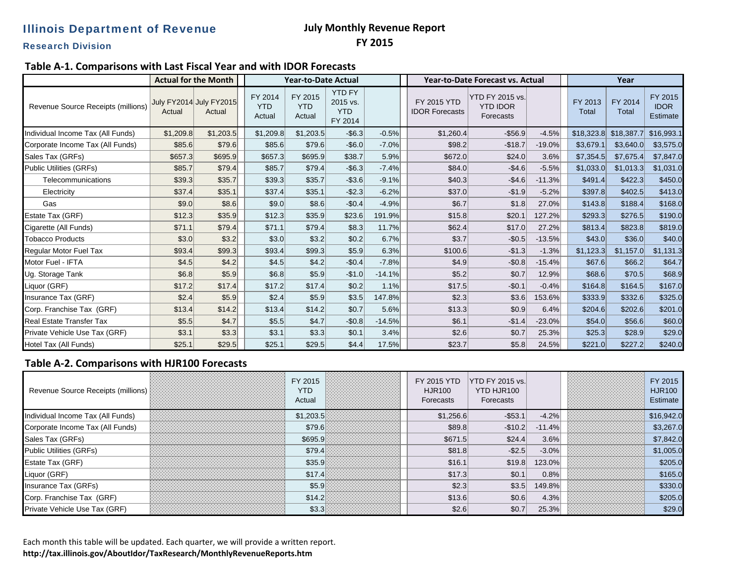## Illinois Department of Revenue

### **July Monthly Revenue Report FY 2015**

Research Division

#### **Table A‐1. Comparisons with Last Fiscal Year and with IDOR Forecasts**

|                                    | <b>Actual for the Month</b>       |           | <b>Year-to-Date Actual</b>      |                                 |                                                    |          | <b>Year-to-Date Forecast vs. Actual</b>     |                                                        |          | Year             |                  |                                    |
|------------------------------------|-----------------------------------|-----------|---------------------------------|---------------------------------|----------------------------------------------------|----------|---------------------------------------------|--------------------------------------------------------|----------|------------------|------------------|------------------------------------|
| Revenue Source Receipts (millions) | July FY2014 July FY2015<br>Actual | Actual    | FY 2014<br><b>YTD</b><br>Actual | FY 2015<br><b>YTD</b><br>Actual | <b>YTD FY</b><br>2015 vs.<br><b>YTD</b><br>FY 2014 |          | <b>FY 2015 YTD</b><br><b>IDOR Forecasts</b> | <b>YTD FY 2015 vs.</b><br><b>YTD IDOR</b><br>Forecasts |          | FY 2013<br>Total | FY 2014<br>Total | FY 2015<br><b>IDOR</b><br>Estimate |
| Individual Income Tax (All Funds)  | \$1,209.8                         | \$1,203.5 | \$1,209.8                       | \$1,203.5                       | $-$6.3$                                            | $-0.5%$  | \$1,260.4                                   | $-$ \$56.9                                             | $-4.5%$  | \$18,323.8       | \$18,387.7       | \$16,993.1                         |
| Corporate Income Tax (All Funds)   | \$85.6                            | \$79.6    | \$85.6                          | \$79.6                          | $-$6.0$                                            | $-7.0%$  | \$98.2                                      | $-$18.7$                                               | $-19.0%$ | \$3,679.1        | \$3,640.0        | \$3,575.0                          |
| Sales Tax (GRFs)                   | \$657.3                           | \$695.9   | \$657.3                         | \$695.9                         | \$38.7                                             | 5.9%     | \$672.0                                     | \$24.0                                                 | 3.6%     | \$7,354.5        | \$7,675.4        | \$7,847.0                          |
| <b>Public Utilities (GRFs)</b>     | \$85.7                            | \$79.4    | \$85.7                          | \$79.4                          | $-$6.3$                                            | $-7.4%$  | \$84.0                                      | $-$4.6$                                                | $-5.5%$  | \$1,033.0        | \$1,013.3        | \$1,031.0                          |
| Telecommunications                 | \$39.3                            | \$35.7    | \$39.3                          | \$35.7                          | $-$ \$3.6                                          | $-9.1%$  | \$40.3                                      | $-$4.6$                                                | $-11.3%$ | \$491.4]         | \$422.3          | \$450.0                            |
| Electricity                        | \$37.4                            | \$35.1    | \$37.4                          | \$35.1                          | $-$2.3$                                            | $-6.2%$  | \$37.0                                      | $-$1.9$                                                | $-5.2%$  | \$397.8          | \$402.5          | \$413.0                            |
| Gas                                | \$9.0                             | \$8.6     | \$9.0                           | \$8.6                           | $-$0.4$                                            | $-4.9%$  | \$6.7                                       | \$1.8                                                  | 27.0%    | \$143.8          | \$188.4          | \$168.0                            |
| Estate Tax (GRF)                   | \$12.3                            | \$35.9    | \$12.3                          | \$35.9                          | \$23.6                                             | 191.9%   | \$15.8                                      | \$20.1                                                 | 127.2%   | \$293.3          | \$276.5          | \$190.0                            |
| Cigarette (All Funds)              | \$71.1                            | \$79.4    | \$71.1                          | \$79.4                          | \$8.3                                              | 11.7%    | \$62.4]                                     | \$17.0                                                 | 27.2%    | \$813.4          | \$823.8          | \$819.0                            |
| <b>Tobacco Products</b>            | \$3.0                             | \$3.2     | \$3.0                           | \$3.2                           | \$0.2                                              | 6.7%     | \$3.7                                       | $-$0.5$                                                | $-13.5%$ | \$43.0           | \$36.0           | \$40.0                             |
| Regular Motor Fuel Tax             | \$93.4                            | \$99.3    | \$93.4                          | \$99.3                          | \$5.9                                              | 6.3%     | \$100.6                                     | $-$1.3$                                                | $-1.3%$  | \$1,123.3        | \$1,157.0        | \$1,131.3                          |
| Motor Fuel - IFTA                  | \$4.5                             | \$4.2     | \$4.5                           | \$4.2                           | $-$0.4$                                            | $-7.8%$  | \$4.9                                       | $-$0.8$                                                | $-15.4%$ | \$67.6           | \$66.2           | \$64.7                             |
| Ug. Storage Tank                   | \$6.8                             | \$5.9     | \$6.8                           | \$5.9                           | $-$1.0$                                            | $-14.1%$ | \$5.2                                       | \$0.7                                                  | 12.9%    | \$68.6           | \$70.5           | \$68.9                             |
| Liquor (GRF)                       | \$17.2                            | \$17.4    | \$17.2                          | \$17.4                          | \$0.2                                              | 1.1%     | \$17.5                                      | $-$0.1$                                                | $-0.4%$  | \$164.8          | \$164.5          | \$167.0                            |
| Insurance Tax (GRF)                | \$2.4                             | \$5.9     | \$2.4                           | \$5.9                           | \$3.5                                              | 147.8%   | \$2.3                                       | \$3.6                                                  | 153.6%   | \$333.9          | \$332.6          | \$325.0                            |
| Corp. Franchise Tax (GRF)          | \$13.4                            | \$14.2    | \$13.4                          | \$14.2                          | \$0.7                                              | 5.6%     | \$13.3                                      | \$0.9                                                  | 6.4%     | \$204.6          | \$202.6          | \$201.0                            |
| <b>Real Estate Transfer Tax</b>    | \$5.5                             | \$4.7     | \$5.5                           | \$4.7                           | $-$0.8$                                            | $-14.5%$ | \$6.1                                       | $-$1.4$                                                | $-23.0%$ | \$54.0           | \$56.6           | \$60.0                             |
| Private Vehicle Use Tax (GRF)      | \$3.1                             | \$3.3     | \$3.1                           | \$3.3                           | \$0.1                                              | 3.4%     | \$2.6                                       | \$0.7                                                  | 25.3%    | \$25.3           | \$28.9           | \$29.0                             |
| Hotel Tax (All Funds)              | \$25.1                            | \$29.5    | \$25.1                          | \$29.5                          | \$4.4]                                             | 17.5%    | \$23.7                                      | \$5.8                                                  | 24.5%    | \$221.0          | \$227.2          | \$240.0                            |

#### **Table A‐2. Comparisons with HJR100 Forecasts**

| Revenue Source Receipts (millions) |   | FY 2015<br><b>YTD</b><br>Actual | <b>HJR100</b><br>Forecasts | FY 2015 YTD YTD FY 2015 vs.<br>YTD HJR100<br>Forecasts |          | FY 2015<br><b>HJR100</b><br>Estimate |
|------------------------------------|---|---------------------------------|----------------------------|--------------------------------------------------------|----------|--------------------------------------|
| Individual Income Tax (All Funds)  | . | \$1,203.5                       | \$1,256.6                  | $-$53.$                                                | $-4.2%$  | \$16,942.0                           |
| Corporate Income Tax (All Funds)   |   | \$79.6                          | \$89.8                     | $-$10.2$                                               | $-11.4%$ | \$3,267.0                            |
| Sales Tax (GRFs)                   |   | \$695.                          | \$671.5                    | \$24.4                                                 | 3.6%     | \$7,842.0                            |
| <b>Public Utilities (GRFs)</b>     |   | \$79.                           | \$81.8                     | $-$ \$2.                                               | $-3.0%$  | \$1,005.0                            |
| <b>Estate Tax (GRF)</b>            |   | \$35.9                          | \$16.1                     | \$19.8                                                 | 123.0%   | \$205.0                              |
| Liquor (GRF)                       |   |                                 | \$17.3                     | \$0.7                                                  | 0.8%     | \$165.0                              |
| Insurance Tax (GRFs)               |   |                                 | \$2.3                      | \$3.5                                                  | 149.8%   | \$330.0                              |
| Corp. Franchise Tax (GRF)          |   |                                 | \$13.6                     | \$0.6                                                  | 4.3%     | \$205.C                              |
| Private Vehicle Use Tax (GRF)      | . |                                 | \$2.6                      |                                                        | 25.3%    | \$29.0                               |

Each month this table will be updated. Each quarter, we will provide <sup>a</sup> written report. **http://tax.illinois.gov/AboutIdor/TaxResearch/MonthlyRevenueReports.htm**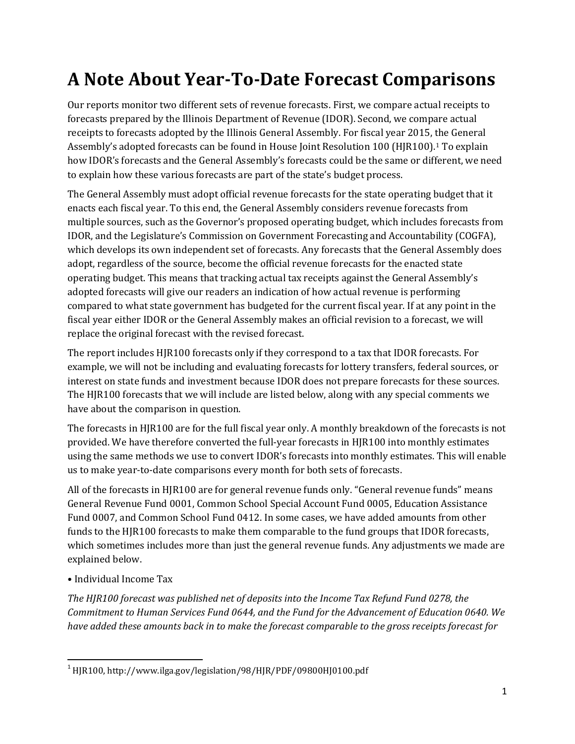# **A Note About Year-To-Date Forecast Comparisons**

Our reports monitor two different sets of revenue forecasts. First, we compare actual receipts to forecasts prepared by the Illinois Department of Revenue (IDOR). Second, we compare actual receipts to forecasts adopted by the Illinois General Assembly. For fiscal year 2015, the General Assembly's adopted forecasts can be found in House Joint Resolution 100 (HJR100).[1](#page-1-0) To explain how IDOR's forecasts and the General Assembly's forecasts could be the same or different, we need to explain how these various forecasts are part of the state's budget process.

The General Assembly must adopt official revenue forecasts for the state operating budget that it enacts each fiscal year. To this end, the General Assembly considers revenue forecasts from multiple sources, such as the Governor's proposed operating budget, which includes forecasts from IDOR, and the Legislature's Commission on Government Forecasting and Accountability (COGFA), which develops its own independent set of forecasts. Any forecasts that the General Assembly does adopt, regardless of the source, become the official revenue forecasts for the enacted state operating budget. This means that tracking actual tax receipts against the General Assembly's adopted forecasts will give our readers an indication of how actual revenue is performing compared to what state government has budgeted for the current fiscal year. If at any point in the fiscal year either IDOR or the General Assembly makes an official revision to a forecast, we will replace the original forecast with the revised forecast.

The report includes HJR100 forecasts only if they correspond to a tax that IDOR forecasts. For example, we will not be including and evaluating forecasts for lottery transfers, federal sources, or interest on state funds and investment because IDOR does not prepare forecasts for these sources. The HJR100 forecasts that we will include are listed below, along with any special comments we have about the comparison in question.

The forecasts in HJR100 are for the full fiscal year only. A monthly breakdown of the forecasts is not provided. We have therefore converted the full-year forecasts in HJR100 into monthly estimates using the same methods we use to convert IDOR's forecasts into monthly estimates. This will enable us to make year-to-date comparisons every month for both sets of forecasts.

All of the forecasts in HJR100 are for general revenue funds only. "General revenue funds" means General Revenue Fund 0001, Common School Special Account Fund 0005, Education Assistance Fund 0007, and Common School Fund 0412. In some cases, we have added amounts from other funds to the HJR100 forecasts to make them comparable to the fund groups that IDOR forecasts, which sometimes includes more than just the general revenue funds. Any adjustments we made are explained below.

• Individual Income Tax

*The HJR100 forecast was published net of deposits into the Income Tax Refund Fund 0278, the Commitment to Human Services Fund 0644, and the Fund for the Advancement of Education 0640. We have added these amounts back in to make the forecast comparable to the gross receipts forecast for* 

<span id="page-1-0"></span><sup>&</sup>lt;sup>1</sup> HJR100, http://www.ilga.gov/legislation/98/HJR/PDF/09800HJ0100.pdf